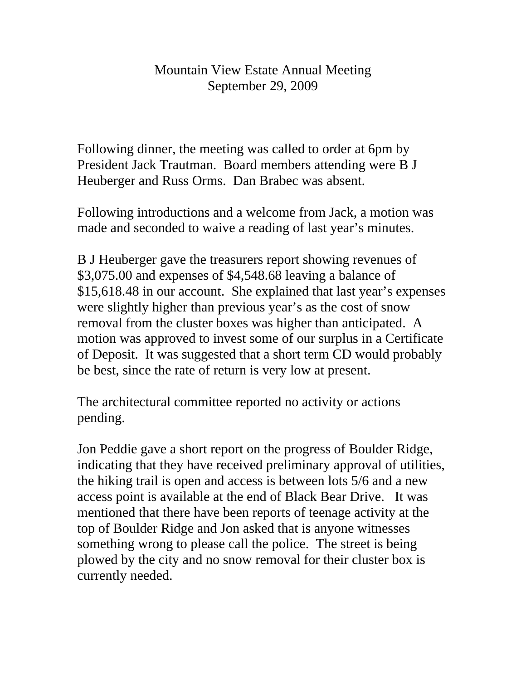## Mountain View Estate Annual Meeting September 29, 2009

Following dinner, the meeting was called to order at 6pm by President Jack Trautman. Board members attending were B J Heuberger and Russ Orms. Dan Brabec was absent.

Following introductions and a welcome from Jack, a motion was made and seconded to waive a reading of last year's minutes.

B J Heuberger gave the treasurers report showing revenues of \$3,075.00 and expenses of \$4,548.68 leaving a balance of \$15,618.48 in our account. She explained that last year's expenses were slightly higher than previous year's as the cost of snow removal from the cluster boxes was higher than anticipated. A motion was approved to invest some of our surplus in a Certificate of Deposit. It was suggested that a short term CD would probably be best, since the rate of return is very low at present.

The architectural committee reported no activity or actions pending.

Jon Peddie gave a short report on the progress of Boulder Ridge, indicating that they have received preliminary approval of utilities, the hiking trail is open and access is between lots 5/6 and a new access point is available at the end of Black Bear Drive. It was mentioned that there have been reports of teenage activity at the top of Boulder Ridge and Jon asked that is anyone witnesses something wrong to please call the police. The street is being plowed by the city and no snow removal for their cluster box is currently needed.